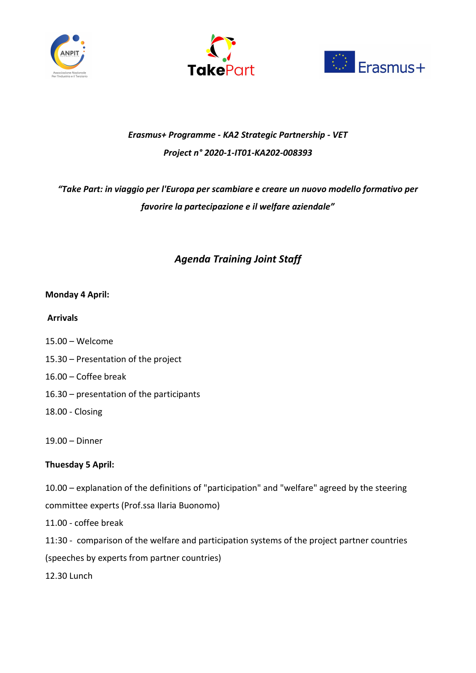





## Erasmus+ Programme - KA2 Strategic Partnership - VET Project n° 2020-1-IT01-KA202-008393

# "Take Part: in viaggio per l'Europa per scambiare e creare un nuovo modello formativo per favorire la partecipazione e il welfare aziendale"

## Agenda Training Joint Staff

## Monday 4 April:

### Arrivals

- 15.00 Welcome
- 15.30 Presentation of the project
- 16.00 Coffee break
- 16.30 presentation of the participants
- 18.00 Closing

19.00 – Dinner

## Thuesday 5 April:

10.00 – explanation of the definitions of "participation" and "welfare" agreed by the steering committee experts (Prof.ssa Ilaria Buonomo)

11.00 - coffee break

11:30 - comparison of the welfare and participation systems of the project partner countries

(speeches by experts from partner countries)

12.30 Lunch